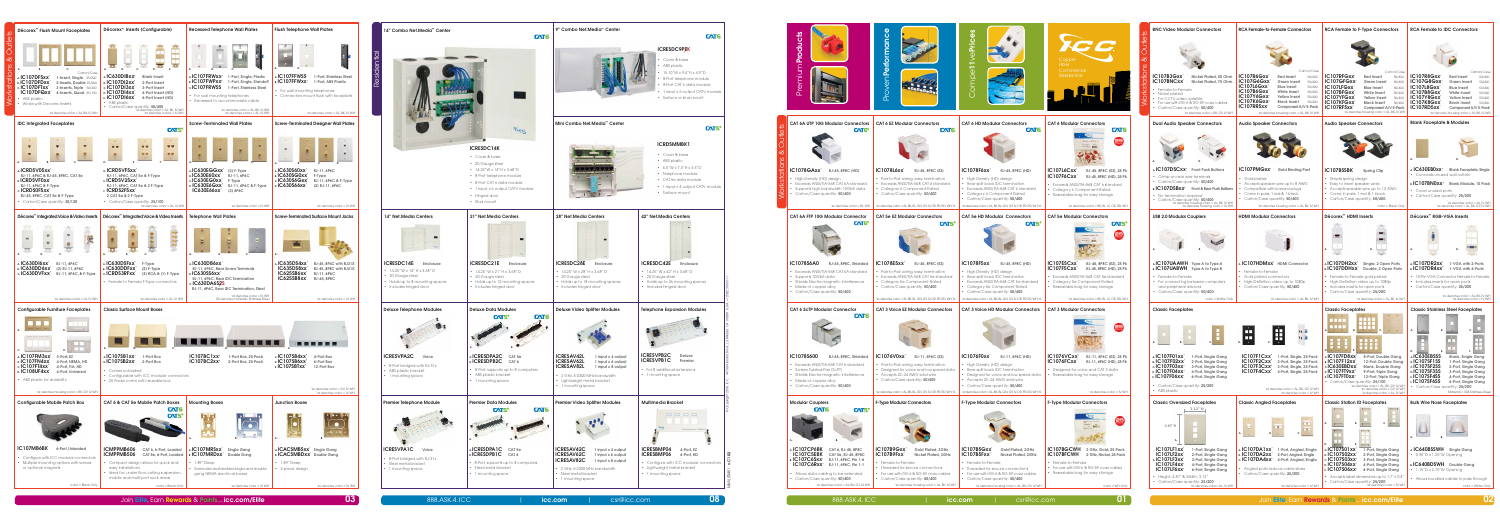

|            | 14" Combo Net.Media™ Center                                                                                                             | <b>CAT6</b>                                                                                                                                                                                                          | 9" Combo                                                                                                |
|------------|-----------------------------------------------------------------------------------------------------------------------------------------|----------------------------------------------------------------------------------------------------------------------------------------------------------------------------------------------------------------------|---------------------------------------------------------------------------------------------------------|
| Residentia |                                                                                                                                         |                                                                                                                                                                                                                      |                                                                                                         |
|            |                                                                                                                                         | Vice                                                                                                                                                                                                                 | Mini Comb                                                                                               |
|            |                                                                                                                                         | <b>ICRESDC14K</b><br>• Cover & base<br>• 20 Gauge steel<br>• 14.25"W x 14"H x 3.68"D<br>• 8-Port telephone module<br>• 8-Port CAT 6 data module<br>• 1 input x 6 output CATV module<br>• Hinged door<br>• Stud mount |                                                                                                         |
|            | 14" Net.Media Centers                                                                                                                   | 21" Net.Media Centers                                                                                                                                                                                                | 28" Net.Me                                                                                              |
|            | <b>ICRESDC14E</b><br>Enclosure<br>14.25" W x 14" H x 3.68" D<br>20 Gauge steel<br>Holds up to 8 mounting spaces<br>Includes hinged door | ICRESDC21E<br><b>Enclosure</b><br>14.25" W x 21" H x 3.68" D<br>• 20 Gauge steel<br>• Holds up to 12 mounting spaces<br>• Includes hinged door                                                                       | <b>ICRESDC:</b><br>14.25"W<br>20 Gaug<br>• Holds up<br>Includes                                         |
|            | <b>Deluxe Telephone Modules</b>                                                                                                         | <b>Deluxe Data Modules</b><br><b>CAT6</b><br><b>CAT5<sup>e</sup></b>                                                                                                                                                 | <b>Deluxe Vic</b>                                                                                       |
|            | <b>ICRESVPA2C</b><br>Voice<br>• 8-Port bridged with RJ-31x<br>• ABS plastic bracket<br>• 1 mounting space                               | A.ICRESDPA2C<br>CAT <sub>5e</sub><br><b>B.ICRESDPB2C</b><br>CAT 6<br>• 8-Port, supports up to 8 computers<br>• ABS plastic bracket<br>• 1 mounting space                                                             | <b>ICRESAV4</b><br><b>ICRESAV</b><br><b>ICRESAV&amp;</b><br>$-2$ GHz, 5-2<br>· Lightweig<br>· 1 mountir |
|            | Premier Telephone Module                                                                                                                | <b>Premier Data Modules</b><br>CAT6.<br>$\mathsf{C}\mathsf{A}\mathsf{TS}^\circ$<br>A.                                                                                                                                | <b>Premier Vio</b>                                                                                      |
|            | <b>ICRESVPA1C</b><br>Voice<br>8-Port bridged with RJ-31x<br>Steel metal bracket<br>1 mounting space                                     | <b>AICRESDPAIC</b><br>CAT <sub>5e</sub><br><b>B.ICRESDPBIC</b><br>CAT 6<br>• 8-Port, supports up to 8 computers<br>• Steel metal bracket<br>• 1 mounting space                                                       | <b>ICRESAV4</b><br><b>ICRESAV6</b><br><b>ICRESAV8</b><br>$-2$ GHz, 5-2<br>Steel met<br>1 mountir        |

| Décorex <sup>™</sup> Flush Mount Faceplates<br>$ext{e}$                                                                                                                                                                                                                             | Décorex <sup>™</sup> Inserts (Configurable)                                                                                                                                                                               | <b>Recessed Telephone Wall Plates</b>                                                                                                                                                                                                    | <b>Flush Telephone Wall Plates</b>                                                                                                                                             |
|-------------------------------------------------------------------------------------------------------------------------------------------------------------------------------------------------------------------------------------------------------------------------------------|---------------------------------------------------------------------------------------------------------------------------------------------------------------------------------------------------------------------------|------------------------------------------------------------------------------------------------------------------------------------------------------------------------------------------------------------------------------------------|--------------------------------------------------------------------------------------------------------------------------------------------------------------------------------|
| 5<br>∩<br>∞<br>C.<br>A.                                                                                                                                                                                                                                                             | А.<br>$\mathsf{C}$<br>B.<br>D.<br>Е.                                                                                                                                                                                      | C.<br>A.                                                                                                                                                                                                                                 |                                                                                                                                                                                |
| ations<br>Carton/Case<br>AIC107DFSxx<br>1-Insert, Single 25/200<br>B. IC107DFDXX<br>2-Inserts, Double 25/200<br>र्छ<br>$c$ . IC107DFTxx<br>3-Inserts, Triple 50/200<br>IC107DFQxx<br>4-Inserts, Quad 25/100<br>$\overline{\delta}$<br>• ABS plastic<br>• Works with Decorex Inserts | $A$ IC630DIBx $X^2$<br><b>Blank Insert</b><br><b>B. IC107DI2XX</b><br>2-Port Insert<br>$c$ . IC107DI3xx'<br>3-Port Insert<br>D. IC107DI4xX<br>4-Port Insert (HD)<br>E. IC107DI6xx'<br>6-Port Insert (HD)<br>• ABS plastic | AIC107FRWXX<br>1-Port, Single, Plastic<br>$_{B}$ , IC107FWPxx <sup>2</sup><br>1-Port, Single, Standoff<br>c.IC107FRWSS<br>1-Port, Stainless Steel<br>• For wall mounting telephones<br>• Recessed to accommodate cable                   | A.IC107FFWSS<br>1-Port, Stainless Steel<br><b>B. IC107FFWXX</b><br>1-Port, ABS Plastic<br>• For wall mounting telephones<br>• Connectors mount flush with faceplate            |
| 'xx denotes color = AL, BK, IV, WH                                                                                                                                                                                                                                                  | Carron/Case quantity: <b>50/400</b><br>xx denotes color = AL, BK, IV, WH<br>'xx denotes colors = IV, WH                                                                                                                   | 'xx denotes color = AL, BK, IV, WH<br>'xx denotes colors = AL, IV, WH                                                                                                                                                                    | 'xx denotes color = AL, BK, IV, WH                                                                                                                                             |
| <b>IDC Integrated Faceplates</b>                                                                                                                                                                                                                                                    | CNTS <sup>e</sup>                                                                                                                                                                                                         | <b>Screw-Terminated Wall Plates</b>                                                                                                                                                                                                      | <b>Screw-Terminated Designer Wall Plates</b>                                                                                                                                   |
| œ                                                                                                                                                                                                                                                                                   | 罗罗<br>▼ ▼<br><b>UD</b><br>$\sigma$ o<br><b>O</b> O<br>D.                                                                                                                                                                  | C.<br>A.<br>D.                                                                                                                                                                                                                           | A.<br>C.<br>D.                                                                                                                                                                 |
| A. ICRDSV05XX<br>RJ-11, 6P6C & RJ-45, 8P8C, CAT 5e<br><b>B. ICRDSVF0xx'</b><br>RJ-11, 6P6C & F-Type<br>c.ICRDS0F5xx<br>RJ-45, 8P8C, CAT 5e & F-Type                                                                                                                                 | D. ICRDSVF5xx'<br>RJ-11, 6P6C, CAT 5e & F-Type<br>EICRDSV25xx<br>RJ-11, 6P6C, CAT 5e & 2 F-Type<br>E ICRDS2F5xx<br>2 CAT 5e & 2 F-Type                                                                                    | AIC630EGGXX<br>$(2) F-Type$<br><b>B. IC630E60XX</b><br>RJ-11, 6P6C<br>$c$ IC630EG0xx<br>F-Type<br>D.IC630E6GXX<br>RJ-11, 6P6C & F-Type<br><b>IC630E66xx</b><br>(2) 6P6C                                                                  | A.IC630S60xx'<br>RJ-11, 6P6C<br>B. IC630SG0xx<br>F-Type<br>$c$ IC630S6Gxx<br>RJ-11, 6P6C & F-Type<br>D. IC630S66xx'<br>(2) RJ-11, 6P6C                                         |
| • Carton/Case quantity: 30/120                                                                                                                                                                                                                                                      | • Carton/Case quantity: 25/100<br>'xx denotes color = AL, IV, WH                                                                                                                                                          | 'xx denotes color = IV. WH                                                                                                                                                                                                               | 'xx denotes color = IV, WH                                                                                                                                                     |
| Décorex <sup>™</sup> Integrated Voice & Video Inserts                                                                                                                                                                                                                               | Décorex <sup>™</sup> Integrated Voice & Video Inserts                                                                                                                                                                     | <b>Telephone Wall Plates</b>                                                                                                                                                                                                             | <b>Screw-Terminated Surface Mount Jacks</b>                                                                                                                                    |
| 咖<br>$\mathbf{C}$                                                                                                                                                                                                                                                                   | Ċ.<br>A.                                                                                                                                                                                                                  | Ξ<br>A.<br>C.                                                                                                                                                                                                                            | А.                                                                                                                                                                             |
| A. IC630DI6XX<br>RJ-11, 6P6C<br>B. IC630DD6xx'<br>(2) RJ-11, 6P6C<br>c.IC630DVFxx'<br>RJ-11, 6P6C, & F-Type<br>'xx denotes color = AL IV. WH                                                                                                                                        | A. IC630DSFxx'<br>F-Type<br>B. IC630DDFXX<br>$(2) F-Type$<br>c.ICRDS3RFxx'<br>(3) RCA & (1) F-Type<br>• Female to Female F-Type connectors<br>'xx denotes color = AL, IV, WH                                              | A IC630DB6xx<br>RJ-11, 6P6C, Rear Screw Terminals<br>BIC630SS6xx<br>RJ-11, 6P6C, Rear IDC Termination<br>c.IC630DA6S2S<br>RJ-11, 6P6C, Rear IDC Termination, Steel<br>'xx denotes color = IV, WH<br>S2 denotes material= Stainless Steel | AL <b>IC635DS4xx</b><br>RJ-45, 8P4C with RJ31X<br>IC635DS8xx<br>RJ-45, 8P8C with RJ31X<br>IC625SB6xx<br>RJ-11, 6P6C<br>IC625SB8xx<br>RJ-45, 8P8C<br>'xx denotes color = IV, WH |
| <b>Configurable Furniture Faceplates</b>                                                                                                                                                                                                                                            | <b>Classic Surface Mount Boxes</b>                                                                                                                                                                                        |                                                                                                                                                                                                                                          |                                                                                                                                                                                |
| $\mathbf{C}$                                                                                                                                                                                                                                                                        | c.                                                                                                                                                                                                                        |                                                                                                                                                                                                                                          |                                                                                                                                                                                |
| $\lambda$ IC107FM3xx<br>3-Port. EZ<br><b>B. IC107FN4xx'</b><br>4-Port, NEMA, HD<br>$c$ . IC107FT4xx<br>4-Port. TIA. HD<br><b>D. IC108UF4xx'</b><br>4-Port, Universal                                                                                                                | A <b>IC107SB1xx</b><br>1-Port Box<br><b>B. IC107SB2xx'</b><br>2-Port Box<br>• Comes unloaded<br>Configurable with ICC modular connectors<br>$\bullet$                                                                     | IC107BC1xx <sup>2</sup><br>1-Port Box, 25 Pack<br>$IC107BC2xx^2$<br>2-Port Box, 25 Pack                                                                                                                                                  | $c$ IC107SB4xx <sup>2</sup><br>4-Port Box<br>D.IC107SB6xx <sup>2</sup><br>6-Port Box<br>$E$ IC107SBTxx <sup>2</sup><br>12-Port Box                                             |
| • ABS plastic for durability                                                                                                                                                                                                                                                        | • 25 Packs come with reusable box                                                                                                                                                                                         |                                                                                                                                                                                                                                          | 'xx denotes color = GY, IV, WH<br>"xx denotes color = IV, WH                                                                                                                   |
| 'xx denotes housing color = BK, GY, IV, WH<br>Configurable Mobile Patch Box                                                                                                                                                                                                         | CAT 6 & CAT 5e Mobile Patch Boxes                                                                                                                                                                                         | <b>Mounting Boxes</b>                                                                                                                                                                                                                    | <b>Junction Boxes</b>                                                                                                                                                          |
|                                                                                                                                                                                                                                                                                     | <b>CAT6</b><br>CATS <sup>e</sup>                                                                                                                                                                                          | А.                                                                                                                                                                                                                                       | А.                                                                                                                                                                             |
| IC107MB6BK<br>6-Port, Unloaded<br>• Configure with ICC modular connectors<br>Multiple mounting options with screws<br>$\bullet$<br>or optional magnets                                                                                                                              | ICMPPMB606<br>CAT 6, 6-Port, Loaded<br>ICMPPMB506<br>CAT 5e, 6-Port, Loaded<br>• Compact design allows for quick and<br>easy installations<br>• Ideal for: under floor, ceiling suspension,                               | A <b>IC107MRSxx</b><br>Single Gang<br><b>B. IC107MRDXX</b><br>Double Gang<br>$\cdot$ 1.89" Deep<br>• Same size as standard single and double<br>gang NEMA electrical boxes                                                               | A <b>ICACSMBSxx</b><br>Single Gang<br><b>B. ICACSMBDXX</b> Double Gang<br>$\cdot$ 1.89" Deep<br>• 2-piece design                                                               |
| color = Black Only                                                                                                                                                                                                                                                                  | mobile and multi-port work areas<br>color = Black Only                                                                                                                                                                    | 'xx denotes color = IV, WH                                                                                                                                                                                                               | 'xx denotes color = IV, WH                                                                                                                                                     |

| <b>BNC Video Modular Connectors</b>                                                                                                                                                                                                                                  | <b>RCA Female-to-Female Connectors</b>                                                                                                                                                                                                                                                                                                                            | <b>RCA Female to F-Type Connectors</b>                                                                                                                                                                                                                                                                                                                     | <b>RCA Female to IDC Connectors</b>                                                                                                                                                                                                                                                                                                                               |
|----------------------------------------------------------------------------------------------------------------------------------------------------------------------------------------------------------------------------------------------------------------------|-------------------------------------------------------------------------------------------------------------------------------------------------------------------------------------------------------------------------------------------------------------------------------------------------------------------------------------------------------------------|------------------------------------------------------------------------------------------------------------------------------------------------------------------------------------------------------------------------------------------------------------------------------------------------------------------------------------------------------------|-------------------------------------------------------------------------------------------------------------------------------------------------------------------------------------------------------------------------------------------------------------------------------------------------------------------------------------------------------------------|
|                                                                                                                                                                                                                                                                      | Carton/Case                                                                                                                                                                                                                                                                                                                                                       | Carton/Case                                                                                                                                                                                                                                                                                                                                                | Carton/Case                                                                                                                                                                                                                                                                                                                                                       |
| IC107B3Gxx<br>Nickel Plated, 50 Ohm<br>IC107BNCxx<br>Nickel Plated, 75 Ohm<br>• Female-to-Female<br>• Nickel plated<br>For CCTV, video, satellite<br>• For use with RG-6 & RG-59 coax cables<br>• Carton/Case quantity: 50/400<br>'xx denotes color = BK, GY, IV, WH | IC107R6Gxx<br><b>Red Insert</b><br>50/400<br>IC107G6Gxx<br>Green Insert<br>50/400<br>IC107L6Gxx<br><b>Blue Insert</b><br>50/400<br><b>IC107B6Gxx</b><br>White Insert<br>50/400<br>IC107Y6Gxx<br><b>Yellow Insert</b><br>50/400<br>IC107K6Gxx<br><b>Black Insert</b><br>50/400<br>IC107RR5xx<br>Component A/V 5-Pack<br>'xx denotes housing color = AL, BK, IV, WH | IC107RFGxx<br><b>Red Insert</b><br>50/400<br>IC107GFGxx<br>Green Insert<br>50/400<br>IC107LFGxx<br><b>Blue Insert</b><br>50/400<br>IC107BFGxx<br>White Insert<br>50/400<br>IC107YFGxx<br><b>Yellow Insert</b><br>50/400<br>IC107KFGxx<br><b>Black Insert</b><br>50/400<br>IC107RF5xx<br>Component A/V 5-Pack<br>'xx denotes housing color = AL, BK, IV, WH | IC107R8Gxx<br><b>Red Insert</b><br>50/400<br>IC107G8Gxx<br>Green Insert<br>50/400<br><b>IC107L8Gxx</b><br><b>Blue Insert</b><br>50/400<br>IC107B8Gxx<br>White Insert<br>50/400<br>IC107Y8Gxx<br><b>Yellow Insert</b><br>50/400<br>IC107K8Gxx<br><b>Black Insert</b><br>50/400<br>IC107RD5xx<br>Component A/V 5-Pack<br>'xx denotes housing color = AL, BK, IV, WH |
| <b>Dual Audio Speaker Connectors</b>                                                                                                                                                                                                                                 | <b>Audio Speaker Connectors</b>                                                                                                                                                                                                                                                                                                                                   | <b>Audio Speaker Connectors</b>                                                                                                                                                                                                                                                                                                                            | <b>Blank Faceplate &amp; Modules</b>                                                                                                                                                                                                                                                                                                                              |
|                                                                                                                                                                                                                                                                      |                                                                                                                                                                                                                                                                                                                                                                   |                                                                                                                                                                                                                                                                                                                                                            |                                                                                                                                                                                                                                                                                                                                                                   |
| A. IC107DSCxx' Front Push Buttons<br>Crimp-on rear wire terminals                                                                                                                                                                                                    | IC107PMGxx<br><b>Gold Binding Post</b>                                                                                                                                                                                                                                                                                                                            | <b>IC107BSSBK</b><br><b>Spring Clip</b>                                                                                                                                                                                                                                                                                                                    | A IC630EB0xx<br><b>Blank Faceplate, Single</b><br>Conceals unused wall outlets                                                                                                                                                                                                                                                                                    |
| • Carton/Case quantity: 50/400<br><b>B.IC107DSBxx<sup>2</sup></b>                                                                                                                                                                                                    | Gold plated<br>Accepts speaker wire up to 8 AWG<br>Compatible with banana plugs                                                                                                                                                                                                                                                                                   | Simple spring design<br>$\bullet$<br>Easy to insert speaker wires<br>$\bullet$<br>$\bullet$                                                                                                                                                                                                                                                                | B. IC107BN0xx <sup>2</sup><br><b>Blank Module, 10 Pack</b>                                                                                                                                                                                                                                                                                                        |
| Front & Rear Push Buttons<br>• No termination required                                                                                                                                                                                                               | Come in pairs, 1 red & 1 black<br>$\bullet$<br>• Carton/Case quantity: 50/400                                                                                                                                                                                                                                                                                     | Accepts speaker wire up to 12 AWG<br>$\bullet$<br>Come in pairs, 1 red & 1 black<br>• Carton/Case quantity: 50/400                                                                                                                                                                                                                                         | Cover unused ports<br>$\bullet$<br>• Carton/Case quantity: 25/200                                                                                                                                                                                                                                                                                                 |
|                                                                                                                                                                                                                                                                      | 'xx denotes housing color = AL, BK, IV, WH                                                                                                                                                                                                                                                                                                                        | color = Black Only                                                                                                                                                                                                                                                                                                                                         | 'xx denotes color = AL, IV, WH<br>'xx denotes color = AL, BK, GY, IV, WH                                                                                                                                                                                                                                                                                          |
| <b>USB 2.0 Modular Couplers</b>                                                                                                                                                                                                                                      | <b>HDMI Modular Connectors</b>                                                                                                                                                                                                                                                                                                                                    | Décorex <sup>™</sup> HDMI Inserts                                                                                                                                                                                                                                                                                                                          | Décorex™ RGB-VGA Inserts                                                                                                                                                                                                                                                                                                                                          |
|                                                                                                                                                                                                                                                                      |                                                                                                                                                                                                                                                                                                                                                                   | А                                                                                                                                                                                                                                                                                                                                                          | $\overline{A}$                                                                                                                                                                                                                                                                                                                                                    |
| A. <b>IC107UAAWH</b> Type A to Type A<br><b>B. IC107UABWH</b> Type A to Type B                                                                                                                                                                                       | A. <b>IC107HDMxx</b> ' HDMI Connector                                                                                                                                                                                                                                                                                                                             | A <b>IC107DH2xx</b> '<br>Single, 2 Open Ports<br>B. IC107DDHXX'<br>Double, 2 Open Ports                                                                                                                                                                                                                                                                    | AIC107DR2xx<br>1-VGA with 2-Ports<br>B. IC107DR4xx <sup>2</sup><br>1-VGA with 4-Ports                                                                                                                                                                                                                                                                             |
| • Female-to-Female<br>• For connecting between computers<br>and peripheral devices<br>• Carton/Case quantity: 50/400                                                                                                                                                 | Female-to-Female<br>Gold plated connectors<br>• High-Definition video up to 1080p<br>• Carton/Case auantity: 50/400                                                                                                                                                                                                                                               | • Female-to-Female gold plated<br>• High-Definition video up to 1080p<br>• Includes inserts for open ports<br>• Carton/Case quantity: 25/200                                                                                                                                                                                                               | 15-Pin VGA Connector Female-to-Female<br>Includes inserts for open ports<br>Carton/Case quantity: 25/200<br>'xx denotes color = AL, BK, IV, WH<br>'xx denotes color = IV, WH                                                                                                                                                                                      |
| color = White Only                                                                                                                                                                                                                                                   | 'xx denotes color = AL, BK, IV, WH                                                                                                                                                                                                                                                                                                                                | 'xx denotes color = AL, BK, IV, WH<br><b>Classic Faceplates</b>                                                                                                                                                                                                                                                                                            | <b>Classic Stainless Steel Faceplates</b>                                                                                                                                                                                                                                                                                                                         |
| <b>Classic Faceplates</b><br>Ë<br>A <b>IC107F01xx</b><br>1-Port, Single Gang<br><b>B.IC107F02xx</b><br>2-Port, Single Gang<br>$c$ .IC107F03xx<br>3-Port, Single Gang<br><b>D. IC107F04xx</b><br>4-Port, Single Gang<br><b>E.IC107F06xx</b><br>6-Port, Single Gang    | œ<br>n a<br>m<br>n E<br>IC107F1Cxx <sup>2</sup><br>1-Port, Single, 25 Pack<br>IC107F2Cxx <sup>2</sup><br>2-Port, Single, 25 Pack<br>IC107F3Cxx <sup>2</sup><br>3-Port, Single, 25 Pack<br>IC107F4Cxx <sup>2</sup><br>4-Port, Single, 25 Pack                                                                                                                      | <b>SIS</b><br>c.<br>$\alpha$<br>D.<br>A <b>IC107FD8xx</b><br>8-Port, Double Gang<br><b>B.IC107F12xx'</b><br>12-Port, Double Gang<br>c.IC630EBDxx <sup>3</sup><br><b>Blank, Double Gang</b><br>D. <b>IC107FT9xx</b> <sup>2</sup><br>9-Port, Triple Gang<br>$E$ <b>IC107FT0xx</b> <sup>2</sup><br>12-Port, Triple Gang                                       | D.<br>A <b>IC630EBSSS</b><br><b>Blank, Single Gang</b><br><b>BLC107SF1SS</b><br>1-Port, Single Gang<br>$c$ .IC107SF2SS<br>2-Port, Single Gang<br><b>D.IC107SF3SS</b><br>3-Port, Single Gang<br>EIC107SF4SS<br>4-Port, Single Gang                                                                                                                                 |
| • Carton/Case quantity: 25/200<br>• ABS plastic                                                                                                                                                                                                                      | 'xx denotes color = AL, BK, GY, IV, WH<br>"xx denotes color = IV, WH                                                                                                                                                                                                                                                                                              | • Carton/Case quantity: 25/100<br>'xx denotes color = AL, BK, GY, IV, WH<br>"xx denotes color = GY, IV, WH<br>'xx denotes color = AL, IV, WH                                                                                                                                                                                                               | EIC107SF6SS<br>6-Port, Single Gang<br>• Carton/Case quantity: 25/200<br>Material = 304 Stainless Steel                                                                                                                                                                                                                                                            |
|                                                                                                                                                                                                                                                                      |                                                                                                                                                                                                                                                                                                                                                                   |                                                                                                                                                                                                                                                                                                                                                            |                                                                                                                                                                                                                                                                                                                                                                   |
| <b>Classic Oversized Faceplates</b>                                                                                                                                                                                                                                  | <b>Classic Angled Faceplates</b>                                                                                                                                                                                                                                                                                                                                  | <b>Classic Station ID Faceplates</b>                                                                                                                                                                                                                                                                                                                       | <b>Bulk Wire Nose Faceplates</b>                                                                                                                                                                                                                                                                                                                                  |
| 3.12"W<br>4.87"H<br>A.                                                                                                                                                                                                                                               | œ<br><b>CEO</b><br>о<br><b>COL</b>                                                                                                                                                                                                                                                                                                                                | $\sqrt{2}$<br>$\sqrt{2}$<br>А.<br>C.<br><b>Common</b><br>т<br>т<br>D.<br>Е.                                                                                                                                                                                                                                                                                | А.                                                                                                                                                                                                                                                                                                                                                                |
| IC107LF1xx<br>1-Port, Single Gang<br>IC107LF2xx<br>2-Port, Single Gang<br>A. <b>IC 107LF3xx'</b><br>3-Port, Single Gang<br>IC107LF4xx<br>4-Port, Single Gang                                                                                                         | A <b>IC107DA1xx</b><br>1-Port, Angled, Single<br><b>8. IC107DA2xx</b><br>2-Port, Angled, Single<br>$c.$ IC107DA4xx'<br>4-Port, Angled, Single<br>Angled ports reduce cable stress<br>$\bullet$                                                                                                                                                                    | $\triangle$ IC107S01xx<br>1-Port, Single Gang<br><b>B. IC107S02xx</b><br>2-Port, Single Gang<br>c. <b>IC107S03xx</b> '<br>3-Port, Single Gang<br>D. IC107S04xx<br>4-Port, Single Gang                                                                                                                                                                      | A. IC640BSSWH<br>Single Gang<br>0.90"D x 1.25"W Opening<br>B. IC640BDSWH Double Gang                                                                                                                                                                                                                                                                              |
| IC107LF6xx<br>6-Port, Single Gang<br>• Height: 4.87" & Width: 3.12"<br>Carton/Case quantity: 25/200                                                                                                                                                                  | Carton/Case quantity: 25/200                                                                                                                                                                                                                                                                                                                                      | E. IC107S06xx<br>6-Port, Single Gang<br>• Accepts label dimensions up to 1.7" x 0.4"<br>• Carton/Case quantity: 25/200                                                                                                                                                                                                                                     | 1.15"D x 2.75"W Opening<br>• Allows bundled cables to pass through                                                                                                                                                                                                                                                                                                |



MMILITO451 **v. C102** © Coppeliza Di 1926 Dio 2027 C102 Dio 2027 Alondra Blvd., La Ga 9088 OS 90688 U.S.A. +1 (5638) 3688 OS 9068 CA 90888 OS 9088 CA 9088 CA 9088 CA 9068 EL O